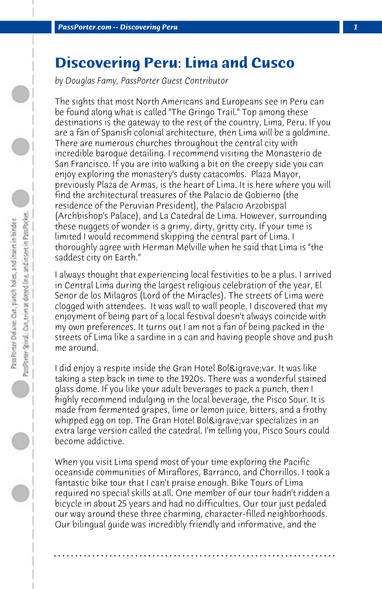## **Discovering Peru: Lima and Cusco**

*by Douglas Famy, PassPorter Guest Contributor*

The sights that most North Americans and Europeans see in Peru can be found along what is called "The Gringo Trail." Top among these destinations is the gateway to the rest of the country, Lima, Peru. If you are a fan of Spanish colonial architecture, then Lima will be a goldmine. There are numerous churches throughout the central city with incredible baroque detailing. I recommend visiting the Monasterio de San Francisco. If you are into walking a bit on the creepy side you can enjoy exploring the monastery's dusty catacombs. Plaza Mayor, previously Plaza de Armas, is the heart of Lima. It is here where you will find the architectural treasures of the Palacio de Gobierno (the residence of the Peruvian President), the Palacio Arzobispal (Archbishop's Palace), and La Catedral de Lima. However, surrounding these nuggets of wonder is a grimy, dirty, gritty city. If your time is limited I would recommend skipping the central part of Lima. I thoroughly agree with Herman Melville when he said that Lima is "the saddest city on Earth."

I always thought that experiencing local festivities to be a plus. I arrived in Central Lima during the largest religious celebration of the year, El Senor de los Milagros (Lord of the Miracles). The streets of Lima were clogged with attendees. It was wall to wall people. I discovered that my enjoyment of being part of a local festival doesn't always coincide with my own preferences. It turns out I am not a fan of being packed in the streets of Lima like a sardine in a can and having people shove and push me around.

I did enjoy a respite inside the Gran Hotel Bolìvar. It was like taking a step back in time to the 1920s. There was a wonderful stained glass dome. If you like your adult beverages to pack a punch, then I highly recommend indulging in the local beverage, the Pisco Sour. It is made from fermented grapes, lime or lemon juice, bitters, and a frothy whipped egg on top. The Gran Hotel Bolìvar specializes in an extra large version called the catedral. I'm telling you, Pisco Sours could become addictive.

When you visit Lima spend most of your time exploring the Pacific oceanside communities of Miraflores, Barranco, and Chorrillos. I took a fantastic bike tour that I can't praise enough. Bike Tours of Lima required no special skills at all. One member of our tour hadn't ridden a bicycle in about 25 years and had no difficulties. Our tour just pedaled our way around these three charming, character-filled neighborhoods. Our bilingual guide was incredibly friendly and informative, and the

**. . . . . . . . . . . . . . . . . . . . . . . . . . . . . . . . . . . . . . . . . . . . . . . . . . . . . . . . . . . . . . . . . .**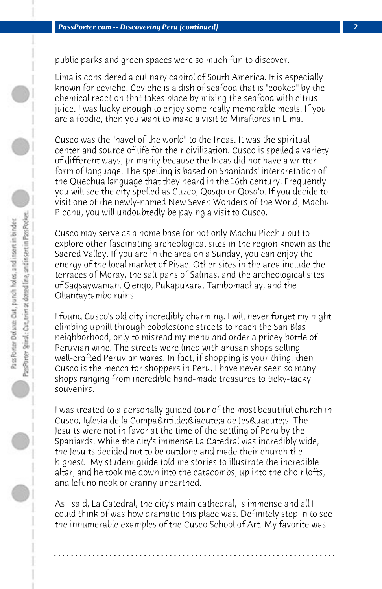public parks and green spaces were so much fun to discover.

Lima is considered a culinary capitol of South America. It is especially known for ceviche. Ceviche is a dish of seafood that is "cooked" by the chemical reaction that takes place by mixing the seafood with citrus juice. I was lucky enough to enjoy some really memorable meals. If you are a foodie, then you want to make a visit to Miraflores in Lima.

Cusco was the "navel of the world" to the Incas. It was the spiritual center and source of life for their civilization. Cusco is spelled a variety of different ways, primarily because the Incas did not have a written form of language. The spelling is based on Spaniards' interpretation of the Quechua language that they heard in the 16th century. Frequently you will see the city spelled as Cuzco, Qosqo or Qosq'o. If you decide to visit one of the newly-named New Seven Wonders of the World, Machu Picchu, you will undoubtedly be paying a visit to Cusco.

Cusco may serve as a home base for not only Machu Picchu but to explore other fascinating archeological sites in the region known as the Sacred Valley. If you are in the area on a Sunday, you can enjoy the energy of the local market of Pisac. Other sites in the area include the terraces of Moray, the salt pans of Salinas, and the archeological sites of Saqsaywaman, Q'enqo, Pukapukara, Tambomachay, and the Ollantaytambo ruins.

I found Cusco's old city incredibly charming. I will never forget my night climbing uphill through cobblestone streets to reach the San Blas neighborhood, only to misread my menu and order a pricey bottle of Peruvian wine. The streets were lined with artisan shops selling well-crafted Peruvian wares. In fact, if shopping is your thing, then Cusco is the mecca for shoppers in Peru. I have never seen so many shops ranging from incredible hand-made treasures to ticky-tacky souvenirs.

I was treated to a personally guided tour of the most beautiful church in Cusco, Iglesia de la Compañía de Jesús. The Jesuits were not in favor at the time of the settling of Peru by the Spaniards. While the city's immense La Catedral was incredibly wide, the Jesuits decided not to be outdone and made their church the highest. My student guide told me stories to illustrate the incredible altar, and he took me down into the catacombs, up into the choir lofts, and left no nook or cranny unearthed.

As I said, La Catedral, the city's main cathedral, is immense and all I could think of was how dramatic this place was. Definitely step in to see the innumerable examples of the Cusco School of Art. My favorite was

**. . . . . . . . . . . . . . . . . . . . . . . . . . . . . . . . . . . . . . . . . . . . . . . . . . . . . . . . . . . . . . . . . .**